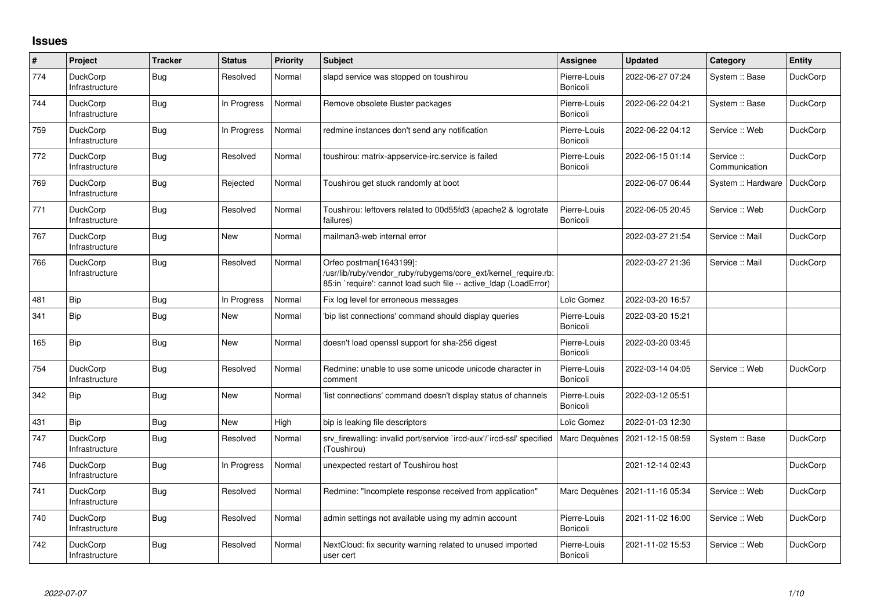## **Issues**

| $\#$ | Project                           | <b>Tracker</b> | <b>Status</b> | <b>Priority</b> | <b>Subject</b>                                                                                                                                                 | <b>Assignee</b>          | <b>Updated</b>   | Category                    | Entity          |
|------|-----------------------------------|----------------|---------------|-----------------|----------------------------------------------------------------------------------------------------------------------------------------------------------------|--------------------------|------------------|-----------------------------|-----------------|
| 774  | <b>DuckCorp</b><br>Infrastructure | Bug            | Resolved      | Normal          | slapd service was stopped on toushirou                                                                                                                         | Pierre-Louis<br>Bonicoli | 2022-06-27 07:24 | System :: Base              | <b>DuckCorp</b> |
| 744  | <b>DuckCorp</b><br>Infrastructure | <b>Bug</b>     | In Progress   | Normal          | Remove obsolete Buster packages                                                                                                                                | Pierre-Louis<br>Bonicoli | 2022-06-22 04:21 | System :: Base              | <b>DuckCorp</b> |
| 759  | DuckCorp<br>Infrastructure        | <b>Bug</b>     | In Progress   | Normal          | redmine instances don't send any notification                                                                                                                  | Pierre-Louis<br>Bonicoli | 2022-06-22 04:12 | Service :: Web              | <b>DuckCorp</b> |
| 772  | <b>DuckCorp</b><br>Infrastructure | <b>Bug</b>     | Resolved      | Normal          | toushirou: matrix-appservice-irc.service is failed                                                                                                             | Pierre-Louis<br>Bonicoli | 2022-06-15 01:14 | Service ::<br>Communication | <b>DuckCorp</b> |
| 769  | <b>DuckCorp</b><br>Infrastructure | <b>Bug</b>     | Rejected      | Normal          | Toushirou get stuck randomly at boot                                                                                                                           |                          | 2022-06-07 06:44 | System :: Hardware          | DuckCorp        |
| 771  | <b>DuckCorp</b><br>Infrastructure | <b>Bug</b>     | Resolved      | Normal          | Toushirou: leftovers related to 00d55fd3 (apache2 & logrotate<br>failures)                                                                                     | Pierre-Louis<br>Bonicoli | 2022-06-05 20:45 | Service :: Web              | <b>DuckCorp</b> |
| 767  | <b>DuckCorp</b><br>Infrastructure | <b>Bug</b>     | <b>New</b>    | Normal          | mailman3-web internal error                                                                                                                                    |                          | 2022-03-27 21:54 | Service :: Mail             | <b>DuckCorp</b> |
| 766  | <b>DuckCorp</b><br>Infrastructure | <b>Bug</b>     | Resolved      | Normal          | Orfeo postman[1643199]:<br>/usr/lib/ruby/vendor_ruby/rubygems/core_ext/kernel_require.rb:<br>85:in `require': cannot load such file -- active_Idap (LoadError) |                          | 2022-03-27 21:36 | Service :: Mail             | <b>DuckCorp</b> |
| 481  | Bip                               | Bug            | In Progress   | Normal          | Fix log level for erroneous messages                                                                                                                           | Loïc Gomez               | 2022-03-20 16:57 |                             |                 |
| 341  | <b>Bip</b>                        | <b>Bug</b>     | <b>New</b>    | Normal          | 'bip list connections' command should display queries                                                                                                          | Pierre-Louis<br>Bonicoli | 2022-03-20 15:21 |                             |                 |
| 165  | <b>Bip</b>                        | <b>Bug</b>     | <b>New</b>    | Normal          | doesn't load openssl support for sha-256 digest                                                                                                                | Pierre-Louis<br>Bonicoli | 2022-03-20 03:45 |                             |                 |
| 754  | <b>DuckCorp</b><br>Infrastructure | Bug            | Resolved      | Normal          | Redmine: unable to use some unicode unicode character in<br>comment                                                                                            | Pierre-Louis<br>Bonicoli | 2022-03-14 04:05 | Service :: Web              | <b>DuckCorp</b> |
| 342  | <b>Bip</b>                        | Bug            | <b>New</b>    | Normal          | list connections' command doesn't display status of channels'                                                                                                  | Pierre-Louis<br>Bonicoli | 2022-03-12 05:51 |                             |                 |
| 431  | Bip                               | Bug            | <b>New</b>    | High            | bip is leaking file descriptors                                                                                                                                | Loïc Gomez               | 2022-01-03 12:30 |                             |                 |
| 747  | <b>DuckCorp</b><br>Infrastructure | <b>Bug</b>     | Resolved      | Normal          | sry firewalling: invalid port/service `ircd-aux'/`ircd-ssl' specified<br>(Toushirou)                                                                           | Marc Dequènes            | 2021-12-15 08:59 | System :: Base              | <b>DuckCorp</b> |
| 746  | <b>DuckCorp</b><br>Infrastructure | <b>Bug</b>     | In Progress   | Normal          | unexpected restart of Toushirou host                                                                                                                           |                          | 2021-12-14 02:43 |                             | <b>DuckCorp</b> |
| 741  | <b>DuckCorp</b><br>Infrastructure | Bug            | Resolved      | Normal          | Redmine: "Incomplete response received from application"                                                                                                       | Marc Dequènes            | 2021-11-16 05:34 | Service :: Web              | <b>DuckCorp</b> |
| 740  | <b>DuckCorp</b><br>Infrastructure | Bug            | Resolved      | Normal          | admin settings not available using my admin account                                                                                                            | Pierre-Louis<br>Bonicoli | 2021-11-02 16:00 | Service :: Web              | <b>DuckCorp</b> |
| 742  | <b>DuckCorp</b><br>Infrastructure | <b>Bug</b>     | Resolved      | Normal          | NextCloud: fix security warning related to unused imported<br>user cert                                                                                        | Pierre-Louis<br>Bonicoli | 2021-11-02 15:53 | Service :: Web              | <b>DuckCorp</b> |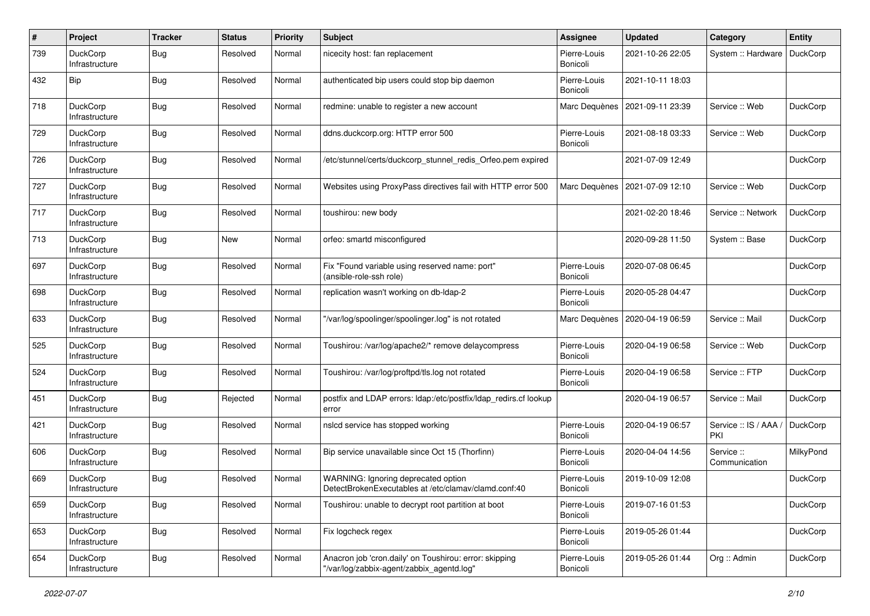| #   | Project                           | <b>Tracker</b> | <b>Status</b> | <b>Priority</b> | <b>Subject</b>                                                                                      | <b>Assignee</b>          | <b>Updated</b>   | Category                    | <b>Entity</b>   |
|-----|-----------------------------------|----------------|---------------|-----------------|-----------------------------------------------------------------------------------------------------|--------------------------|------------------|-----------------------------|-----------------|
| 739 | <b>DuckCorp</b><br>Infrastructure | Bug            | Resolved      | Normal          | nicecity host: fan replacement                                                                      | Pierre-Louis<br>Bonicoli | 2021-10-26 22:05 | System :: Hardware          | DuckCorp        |
| 432 | Bip                               | Bug            | Resolved      | Normal          | authenticated bip users could stop bip daemon                                                       | Pierre-Louis<br>Bonicoli | 2021-10-11 18:03 |                             |                 |
| 718 | <b>DuckCorp</b><br>Infrastructure | Bug            | Resolved      | Normal          | redmine: unable to register a new account                                                           | Marc Dequènes            | 2021-09-11 23:39 | Service :: Web              | <b>DuckCorp</b> |
| 729 | <b>DuckCorp</b><br>Infrastructure | <b>Bug</b>     | Resolved      | Normal          | ddns.duckcorp.org: HTTP error 500                                                                   | Pierre-Louis<br>Bonicoli | 2021-08-18 03:33 | Service :: Web              | <b>DuckCorp</b> |
| 726 | <b>DuckCorp</b><br>Infrastructure | Bug            | Resolved      | Normal          | /etc/stunnel/certs/duckcorp_stunnel_redis_Orfeo.pem expired                                         |                          | 2021-07-09 12:49 |                             | <b>DuckCorp</b> |
| 727 | <b>DuckCorp</b><br>Infrastructure | Bug            | Resolved      | Normal          | Websites using ProxyPass directives fail with HTTP error 500                                        | Marc Dequènes            | 2021-07-09 12:10 | Service :: Web              | <b>DuckCorp</b> |
| 717 | <b>DuckCorp</b><br>Infrastructure | <b>Bug</b>     | Resolved      | Normal          | toushirou: new body                                                                                 |                          | 2021-02-20 18:46 | Service :: Network          | <b>DuckCorp</b> |
| 713 | <b>DuckCorp</b><br>Infrastructure | <b>Bug</b>     | New           | Normal          | orfeo: smartd misconfigured                                                                         |                          | 2020-09-28 11:50 | System :: Base              | <b>DuckCorp</b> |
| 697 | <b>DuckCorp</b><br>Infrastructure | Bug            | Resolved      | Normal          | Fix "Found variable using reserved name: port"<br>(ansible-role-ssh role)                           | Pierre-Louis<br>Bonicoli | 2020-07-08 06:45 |                             | <b>DuckCorp</b> |
| 698 | <b>DuckCorp</b><br>Infrastructure | Bug            | Resolved      | Normal          | replication wasn't working on db-Idap-2                                                             | Pierre-Louis<br>Bonicoli | 2020-05-28 04:47 |                             | <b>DuckCorp</b> |
| 633 | <b>DuckCorp</b><br>Infrastructure | Bug            | Resolved      | Normal          | "/var/log/spoolinger/spoolinger.log" is not rotated                                                 | Marc Dequènes            | 2020-04-19 06:59 | Service :: Mail             | <b>DuckCorp</b> |
| 525 | <b>DuckCorp</b><br>Infrastructure | <b>Bug</b>     | Resolved      | Normal          | Toushirou: /var/log/apache2/* remove delaycompress                                                  | Pierre-Louis<br>Bonicoli | 2020-04-19 06:58 | Service :: Web              | <b>DuckCorp</b> |
| 524 | <b>DuckCorp</b><br>Infrastructure | Bug            | Resolved      | Normal          | Toushirou: /var/log/proftpd/tls.log not rotated                                                     | Pierre-Louis<br>Bonicoli | 2020-04-19 06:58 | Service :: FTP              | <b>DuckCorp</b> |
| 451 | <b>DuckCorp</b><br>Infrastructure | <b>Bug</b>     | Rejected      | Normal          | postfix and LDAP errors: Idap:/etc/postfix/Idap_redirs.cf lookup<br>error                           |                          | 2020-04-19 06:57 | Service :: Mail             | <b>DuckCorp</b> |
| 421 | <b>DuckCorp</b><br>Infrastructure | Bug            | Resolved      | Normal          | nslcd service has stopped working                                                                   | Pierre-Louis<br>Bonicoli | 2020-04-19 06:57 | Service :: IS / AAA,<br>PKI | <b>DuckCorp</b> |
| 606 | <b>DuckCorp</b><br>Infrastructure | Bug            | Resolved      | Normal          | Bip service unavailable since Oct 15 (Thorfinn)                                                     | Pierre-Louis<br>Bonicoli | 2020-04-04 14:56 | Service ::<br>Communication | MilkyPond       |
| 669 | <b>DuckCorp</b><br>Infrastructure | Bug            | Resolved      | Normal          | WARNING: Ignoring deprecated option<br>DetectBrokenExecutables at /etc/clamay/clamd.conf:40         | Pierre-Louis<br>Bonicoli | 2019-10-09 12:08 |                             | <b>DuckCorp</b> |
| 659 | DuckCorp<br>Infrastructure        | <b>Bug</b>     | Resolved      | Normal          | Toushirou: unable to decrypt root partition at boot                                                 | Pierre-Louis<br>Bonicoli | 2019-07-16 01:53 |                             | <b>DuckCorp</b> |
| 653 | DuckCorp<br>Infrastructure        | <b>Bug</b>     | Resolved      | Normal          | Fix logcheck regex                                                                                  | Pierre-Louis<br>Bonicoli | 2019-05-26 01:44 |                             | DuckCorp        |
| 654 | <b>DuckCorp</b><br>Infrastructure | <b>Bug</b>     | Resolved      | Normal          | Anacron job 'cron.daily' on Toushirou: error: skipping<br>"/var/log/zabbix-agent/zabbix_agentd.log" | Pierre-Louis<br>Bonicoli | 2019-05-26 01:44 | Org :: Admin                | <b>DuckCorp</b> |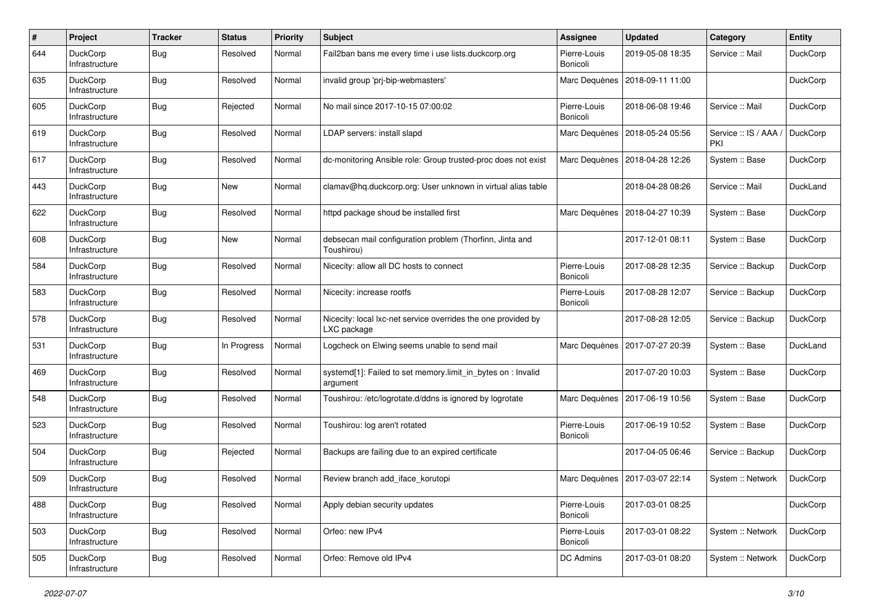| $\#$ | Project                           | <b>Tracker</b> | <b>Status</b> | <b>Priority</b> | <b>Subject</b>                                                               | <b>Assignee</b>          | <b>Updated</b>   | Category                   | <b>Entity</b>   |
|------|-----------------------------------|----------------|---------------|-----------------|------------------------------------------------------------------------------|--------------------------|------------------|----------------------------|-----------------|
| 644  | DuckCorp<br>Infrastructure        | Bug            | Resolved      | Normal          | Fail2ban bans me every time i use lists.duckcorp.org                         | Pierre-Louis<br>Bonicoli | 2019-05-08 18:35 | Service :: Mail            | DuckCorp        |
| 635  | DuckCorp<br>Infrastructure        | Bug            | Resolved      | Normal          | invalid group 'prj-bip-webmasters'                                           | Marc Dequènes            | 2018-09-11 11:00 |                            | <b>DuckCorp</b> |
| 605  | DuckCorp<br>Infrastructure        | <b>Bug</b>     | Rejected      | Normal          | No mail since 2017-10-15 07:00:02                                            | Pierre-Louis<br>Bonicoli | 2018-06-08 19:46 | Service :: Mail            | <b>DuckCorp</b> |
| 619  | <b>DuckCorp</b><br>Infrastructure | <b>Bug</b>     | Resolved      | Normal          | LDAP servers: install slapd                                                  | Marc Dequènes            | 2018-05-24 05:56 | Service: IS / AAA /<br>PKI | DuckCorp        |
| 617  | DuckCorp<br>Infrastructure        | <b>Bug</b>     | Resolved      | Normal          | dc-monitoring Ansible role: Group trusted-proc does not exist                | Marc Dequènes            | 2018-04-28 12:26 | System :: Base             | <b>DuckCorp</b> |
| 443  | <b>DuckCorp</b><br>Infrastructure | Bug            | New           | Normal          | clamav@hq.duckcorp.org: User unknown in virtual alias table                  |                          | 2018-04-28 08:26 | Service :: Mail            | DuckLand        |
| 622  | DuckCorp<br>Infrastructure        | Bug            | Resolved      | Normal          | httpd package shoud be installed first                                       | Marc Dequènes            | 2018-04-27 10:39 | System :: Base             | <b>DuckCorp</b> |
| 608  | <b>DuckCorp</b><br>Infrastructure | Bug            | New           | Normal          | debsecan mail configuration problem (Thorfinn, Jinta and<br>Toushirou)       |                          | 2017-12-01 08:11 | System :: Base             | <b>DuckCorp</b> |
| 584  | DuckCorp<br>Infrastructure        | Bug            | Resolved      | Normal          | Nicecity: allow all DC hosts to connect                                      | Pierre-Louis<br>Bonicoli | 2017-08-28 12:35 | Service :: Backup          | <b>DuckCorp</b> |
| 583  | DuckCorp<br>Infrastructure        | Bug            | Resolved      | Normal          | Nicecity: increase rootfs                                                    | Pierre-Louis<br>Bonicoli | 2017-08-28 12:07 | Service :: Backup          | <b>DuckCorp</b> |
| 578  | <b>DuckCorp</b><br>Infrastructure | <b>Bug</b>     | Resolved      | Normal          | Nicecity: local lxc-net service overrides the one provided by<br>LXC package |                          | 2017-08-28 12:05 | Service :: Backup          | DuckCorp        |
| 531  | DuckCorp<br>Infrastructure        | Bug            | In Progress   | Normal          | Logcheck on Elwing seems unable to send mail                                 | Marc Dequènes            | 2017-07-27 20:39 | System :: Base             | DuckLand        |
| 469  | <b>DuckCorp</b><br>Infrastructure | Bug            | Resolved      | Normal          | systemd[1]: Failed to set memory.limit_in_bytes on : Invalid<br>argument     |                          | 2017-07-20 10:03 | System :: Base             | <b>DuckCorp</b> |
| 548  | DuckCorp<br>Infrastructure        | Bug            | Resolved      | Normal          | Toushirou: /etc/logrotate.d/ddns is ignored by logrotate                     | Marc Dequènes            | 2017-06-19 10:56 | System :: Base             | <b>DuckCorp</b> |
| 523  | <b>DuckCorp</b><br>Infrastructure | Bug            | Resolved      | Normal          | Toushirou: log aren't rotated                                                | Pierre-Louis<br>Bonicoli | 2017-06-19 10:52 | System :: Base             | <b>DuckCorp</b> |
| 504  | <b>DuckCorp</b><br>Infrastructure | Bug            | Rejected      | Normal          | Backups are failing due to an expired certificate                            |                          | 2017-04-05 06:46 | Service :: Backup          | <b>DuckCorp</b> |
| 509  | <b>DuckCorp</b><br>Infrastructure | Bug            | Resolved      | Normal          | Review branch add iface korutopi                                             | Marc Dequènes            | 2017-03-07 22:14 | System :: Network          | <b>DuckCorp</b> |
| 488  | DuckCorp<br>Infrastructure        | <b>Bug</b>     | Resolved      | Normal          | Apply debian security updates                                                | Pierre-Louis<br>Bonicoli | 2017-03-01 08:25 |                            | DuckCorp        |
| 503  | DuckCorp<br>Infrastructure        | Bug            | Resolved      | Normal          | Orfeo: new IPv4                                                              | Pierre-Louis<br>Bonicoli | 2017-03-01 08:22 | System :: Network          | DuckCorp        |
| 505  | DuckCorp<br>Infrastructure        | <b>Bug</b>     | Resolved      | Normal          | Orfeo: Remove old IPv4                                                       | DC Admins                | 2017-03-01 08:20 | System :: Network          | DuckCorp        |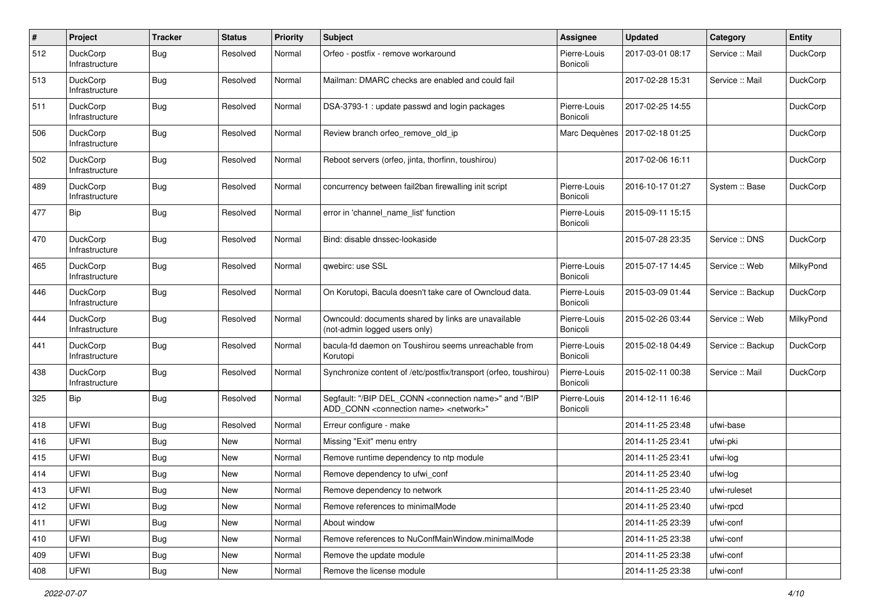| #   | Project                           | <b>Tracker</b> | <b>Status</b> | <b>Priority</b> | Subject                                                                                                                                   | <b>Assignee</b>          | <b>Updated</b>   | Category          | <b>Entity</b>   |
|-----|-----------------------------------|----------------|---------------|-----------------|-------------------------------------------------------------------------------------------------------------------------------------------|--------------------------|------------------|-------------------|-----------------|
| 512 | <b>DuckCorp</b><br>Infrastructure | Bug            | Resolved      | Normal          | Orfeo - postfix - remove workaround                                                                                                       | Pierre-Louis<br>Bonicoli | 2017-03-01 08:17 | Service :: Mail   | DuckCorp        |
| 513 | DuckCorp<br>Infrastructure        | Bug            | Resolved      | Normal          | Mailman: DMARC checks are enabled and could fail                                                                                          |                          | 2017-02-28 15:31 | Service :: Mail   | DuckCorp        |
| 511 | <b>DuckCorp</b><br>Infrastructure | Bug            | Resolved      | Normal          | DSA-3793-1 : update passwd and login packages                                                                                             | Pierre-Louis<br>Bonicoli | 2017-02-25 14:55 |                   | DuckCorp        |
| 506 | <b>DuckCorp</b><br>Infrastructure | <b>Bug</b>     | Resolved      | Normal          | Review branch orfeo remove old ip                                                                                                         | Marc Dequènes            | 2017-02-18 01:25 |                   | DuckCorp        |
| 502 | <b>DuckCorp</b><br>Infrastructure | <b>Bug</b>     | Resolved      | Normal          | Reboot servers (orfeo, jinta, thorfinn, toushirou)                                                                                        |                          | 2017-02-06 16:11 |                   | DuckCorp        |
| 489 | <b>DuckCorp</b><br>Infrastructure | Bug            | Resolved      | Normal          | concurrency between fail2ban firewalling init script                                                                                      | Pierre-Louis<br>Bonicoli | 2016-10-17 01:27 | System :: Base    | <b>DuckCorp</b> |
| 477 | Bip                               | Bug            | Resolved      | Normal          | error in 'channel_name_list' function                                                                                                     | Pierre-Louis<br>Bonicoli | 2015-09-11 15:15 |                   |                 |
| 470 | <b>DuckCorp</b><br>Infrastructure | Bug            | Resolved      | Normal          | Bind: disable dnssec-lookaside                                                                                                            |                          | 2015-07-28 23:35 | Service: DNS      | DuckCorp        |
| 465 | <b>DuckCorp</b><br>Infrastructure | Bug            | Resolved      | Normal          | qwebirc: use SSL                                                                                                                          | Pierre-Louis<br>Bonicoli | 2015-07-17 14:45 | Service: Web      | MilkyPond       |
| 446 | <b>DuckCorp</b><br>Infrastructure | Bug            | Resolved      | Normal          | On Korutopi, Bacula doesn't take care of Owncloud data.                                                                                   | Pierre-Louis<br>Bonicoli | 2015-03-09 01:44 | Service :: Backup | DuckCorp        |
| 444 | <b>DuckCorp</b><br>Infrastructure | <b>Bug</b>     | Resolved      | Normal          | Owncould: documents shared by links are unavailable<br>(not-admin logged users only)                                                      | Pierre-Louis<br>Bonicoli | 2015-02-26 03:44 | Service: Web      | MilkyPond       |
| 441 | <b>DuckCorp</b><br>Infrastructure | <b>Bug</b>     | Resolved      | Normal          | bacula-fd daemon on Toushirou seems unreachable from<br>Korutopi                                                                          | Pierre-Louis<br>Bonicoli | 2015-02-18 04:49 | Service :: Backup | DuckCorp        |
| 438 | <b>DuckCorp</b><br>Infrastructure | Bug            | Resolved      | Normal          | Synchronize content of /etc/postfix/transport (orfeo, toushirou)                                                                          | Pierre-Louis<br>Bonicoli | 2015-02-11 00:38 | Service :: Mail   | DuckCorp        |
| 325 | Bip                               | Bug            | Resolved      | Normal          | Segfault: "/BIP DEL_CONN <connection name="">" and "/BIP<br/>ADD_CONN <connection name=""> <network>"</network></connection></connection> | Pierre-Louis<br>Bonicoli | 2014-12-11 16:46 |                   |                 |
| 418 | <b>UFWI</b>                       | Bug            | Resolved      | Normal          | Erreur configure - make                                                                                                                   |                          | 2014-11-25 23:48 | ufwi-base         |                 |
| 416 | UFWI                              | Bug            | New           | Normal          | Missing "Exit" menu entry                                                                                                                 |                          | 2014-11-25 23:41 | ufwi-pki          |                 |
| 415 | <b>UFWI</b>                       | <b>Bug</b>     | New           | Normal          | Remove runtime dependency to ntp module                                                                                                   |                          | 2014-11-25 23:41 | ufwi-log          |                 |
| 414 | UFWI                              | Bug            | New           | Normal          | Remove dependency to ufwi_conf                                                                                                            |                          | 2014-11-25 23:40 | ufwi-log          |                 |
| 413 | UFWI                              | i Bug          | New           | Normal          | Remove dependency to network                                                                                                              |                          | 2014-11-25 23:40 | ufwi-ruleset      |                 |
| 412 | UFWI                              | Bug            | New           | Normal          | Remove references to minimalMode                                                                                                          |                          | 2014-11-25 23:40 | ufwi-rpcd         |                 |
| 411 | UFWI                              | <b>Bug</b>     | New           | Normal          | About window                                                                                                                              |                          | 2014-11-25 23:39 | ufwi-conf         |                 |
| 410 | UFWI                              | <b>Bug</b>     | New           | Normal          | Remove references to NuConfMainWindow.minimalMode                                                                                         |                          | 2014-11-25 23:38 | ufwi-conf         |                 |
| 409 | UFWI                              | <b>Bug</b>     | New           | Normal          | Remove the update module                                                                                                                  |                          | 2014-11-25 23:38 | ufwi-conf         |                 |
| 408 | UFWI                              | <b>Bug</b>     | New           | Normal          | Remove the license module                                                                                                                 |                          | 2014-11-25 23:38 | ufwi-conf         |                 |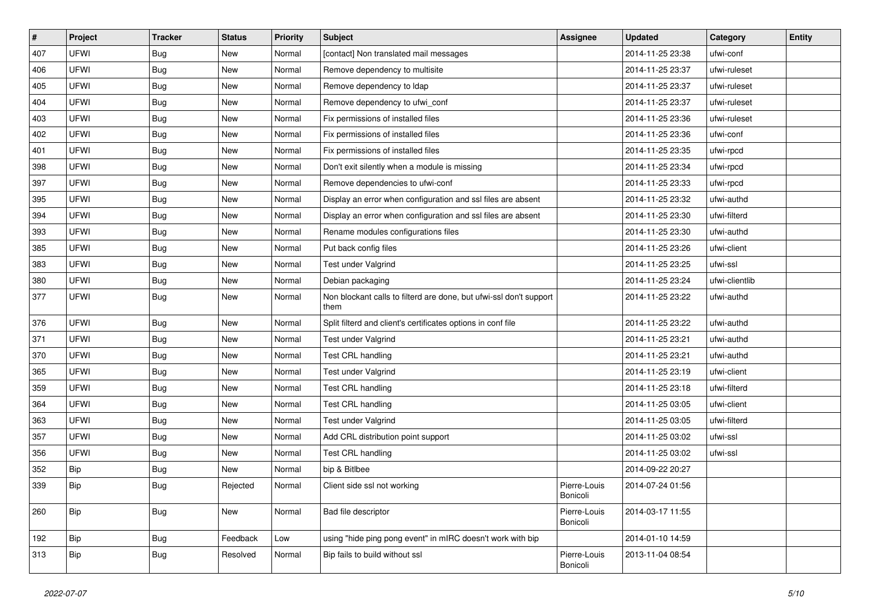| #   | Project     | <b>Tracker</b> | <b>Status</b> | <b>Priority</b> | Subject                                                                    | Assignee                 | <b>Updated</b>   | Category       | <b>Entity</b> |
|-----|-------------|----------------|---------------|-----------------|----------------------------------------------------------------------------|--------------------------|------------------|----------------|---------------|
| 407 | <b>UFWI</b> | Bug            | <b>New</b>    | Normal          | [contact] Non translated mail messages                                     |                          | 2014-11-25 23:38 | ufwi-conf      |               |
| 406 | <b>UFWI</b> | <b>Bug</b>     | <b>New</b>    | Normal          | Remove dependency to multisite                                             |                          | 2014-11-25 23:37 | ufwi-ruleset   |               |
| 405 | <b>UFWI</b> | <b>Bug</b>     | <b>New</b>    | Normal          | Remove dependency to Idap                                                  |                          | 2014-11-25 23:37 | ufwi-ruleset   |               |
| 404 | <b>UFWI</b> | <b>Bug</b>     | <b>New</b>    | Normal          | Remove dependency to ufwi_conf                                             |                          | 2014-11-25 23:37 | ufwi-ruleset   |               |
| 403 | <b>UFWI</b> | <b>Bug</b>     | <b>New</b>    | Normal          | Fix permissions of installed files                                         |                          | 2014-11-25 23:36 | ufwi-ruleset   |               |
| 402 | <b>UFWI</b> | Bug            | <b>New</b>    | Normal          | Fix permissions of installed files                                         |                          | 2014-11-25 23:36 | ufwi-conf      |               |
| 401 | <b>UFWI</b> | <b>Bug</b>     | <b>New</b>    | Normal          | Fix permissions of installed files                                         |                          | 2014-11-25 23:35 | ufwi-rpcd      |               |
| 398 | <b>UFWI</b> | Bug            | <b>New</b>    | Normal          | Don't exit silently when a module is missing                               |                          | 2014-11-25 23:34 | ufwi-rpcd      |               |
| 397 | <b>UFWI</b> | <b>Bug</b>     | <b>New</b>    | Normal          | Remove dependencies to ufwi-conf                                           |                          | 2014-11-25 23:33 | ufwi-rpcd      |               |
| 395 | <b>UFWI</b> | Bug            | <b>New</b>    | Normal          | Display an error when configuration and ssl files are absent               |                          | 2014-11-25 23:32 | ufwi-authd     |               |
| 394 | <b>UFWI</b> | <b>Bug</b>     | New           | Normal          | Display an error when configuration and ssl files are absent               |                          | 2014-11-25 23:30 | ufwi-filterd   |               |
| 393 | <b>UFWI</b> | <b>Bug</b>     | <b>New</b>    | Normal          | Rename modules configurations files                                        |                          | 2014-11-25 23:30 | ufwi-authd     |               |
| 385 | <b>UFWI</b> | Bug            | New           | Normal          | Put back config files                                                      |                          | 2014-11-25 23:26 | ufwi-client    |               |
| 383 | <b>UFWI</b> | <b>Bug</b>     | <b>New</b>    | Normal          | Test under Valgrind                                                        |                          | 2014-11-25 23:25 | ufwi-ssl       |               |
| 380 | <b>UFWI</b> | <b>Bug</b>     | <b>New</b>    | Normal          | Debian packaging                                                           |                          | 2014-11-25 23:24 | ufwi-clientlib |               |
| 377 | <b>UFWI</b> | Bug            | <b>New</b>    | Normal          | Non blockant calls to filterd are done, but ufwi-ssl don't support<br>them |                          | 2014-11-25 23:22 | ufwi-authd     |               |
| 376 | <b>UFWI</b> | Bug            | <b>New</b>    | Normal          | Split filterd and client's certificates options in conf file               |                          | 2014-11-25 23:22 | ufwi-authd     |               |
| 371 | <b>UFWI</b> | <b>Bug</b>     | New           | Normal          | Test under Valgrind                                                        |                          | 2014-11-25 23:21 | ufwi-authd     |               |
| 370 | <b>UFWI</b> | Bug            | New           | Normal          | Test CRL handling                                                          |                          | 2014-11-25 23:21 | ufwi-authd     |               |
| 365 | <b>UFWI</b> | Bug            | New           | Normal          | Test under Valgrind                                                        |                          | 2014-11-25 23:19 | ufwi-client    |               |
| 359 | <b>UFWI</b> | <b>Bug</b>     | <b>New</b>    | Normal          | Test CRL handling                                                          |                          | 2014-11-25 23:18 | ufwi-filterd   |               |
| 364 | <b>UFWI</b> | Bug            | <b>New</b>    | Normal          | Test CRL handling                                                          |                          | 2014-11-25 03:05 | ufwi-client    |               |
| 363 | <b>UFWI</b> | <b>Bug</b>     | New           | Normal          | Test under Valgrind                                                        |                          | 2014-11-25 03:05 | ufwi-filterd   |               |
| 357 | <b>UFWI</b> | <b>Bug</b>     | <b>New</b>    | Normal          | Add CRL distribution point support                                         |                          | 2014-11-25 03:02 | ufwi-ssl       |               |
| 356 | <b>UFWI</b> | Bug            | New           | Normal          | Test CRL handling                                                          |                          | 2014-11-25 03:02 | ufwi-ssl       |               |
| 352 | Bip         | <b>Bug</b>     | <b>New</b>    | Normal          | bip & Bitlbee                                                              |                          | 2014-09-22 20:27 |                |               |
| 339 | Bip         | <b>Bug</b>     | Rejected      | Normal          | Client side ssl not working                                                | Pierre-Louis<br>Bonicoli | 2014-07-24 01:56 |                |               |
| 260 | Bip         | <b>Bug</b>     | New           | Normal          | Bad file descriptor                                                        | Pierre-Louis<br>Bonicoli | 2014-03-17 11:55 |                |               |
| 192 | Bip         | Bug            | Feedback      | Low             | using "hide ping pong event" in mIRC doesn't work with bip                 |                          | 2014-01-10 14:59 |                |               |
| 313 | Bip         | <b>Bug</b>     | Resolved      | Normal          | Bip fails to build without ssl                                             | Pierre-Louis<br>Bonicoli | 2013-11-04 08:54 |                |               |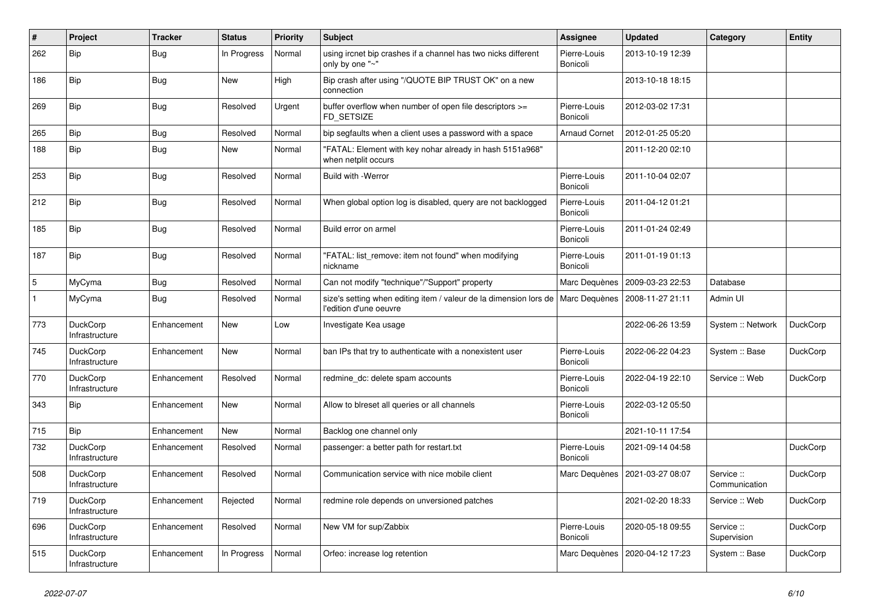| #            | Project                           | <b>Tracker</b> | <b>Status</b> | <b>Priority</b> | Subject                                                                                     | Assignee                 | <b>Updated</b>   | Category                    | <b>Entity</b>   |
|--------------|-----------------------------------|----------------|---------------|-----------------|---------------------------------------------------------------------------------------------|--------------------------|------------------|-----------------------------|-----------------|
| 262          | Bip                               | Bug            | In Progress   | Normal          | using ircnet bip crashes if a channel has two nicks different<br>only by one "~"            | Pierre-Louis<br>Bonicoli | 2013-10-19 12:39 |                             |                 |
| 186          | Bip                               | Bug            | New           | High            | Bip crash after using "/QUOTE BIP TRUST OK" on a new<br>connection                          |                          | 2013-10-18 18:15 |                             |                 |
| 269          | Bip                               | <b>Bug</b>     | Resolved      | Urgent          | buffer overflow when number of open file descriptors >=<br>FD_SETSIZE                       | Pierre-Louis<br>Bonicoli | 2012-03-02 17:31 |                             |                 |
| 265          | Bip                               | Bug            | Resolved      | Normal          | bip segfaults when a client uses a password with a space                                    | <b>Arnaud Cornet</b>     | 2012-01-25 05:20 |                             |                 |
| 188          | Bip                               | Bug            | New           | Normal          | "FATAL: Element with key nohar already in hash 5151a968"<br>when netplit occurs             |                          | 2011-12-20 02:10 |                             |                 |
| 253          | Bip                               | Bug            | Resolved      | Normal          | <b>Build with -Werror</b>                                                                   | Pierre-Louis<br>Bonicoli | 2011-10-04 02:07 |                             |                 |
| 212          | Bip                               | Bug            | Resolved      | Normal          | When global option log is disabled, query are not backlogged                                | Pierre-Louis<br>Bonicoli | 2011-04-12 01:21 |                             |                 |
| 185          | Bip                               | Bug            | Resolved      | Normal          | Build error on armel                                                                        | Pierre-Louis<br>Bonicoli | 2011-01-24 02:49 |                             |                 |
| 187          | Bip                               | Bug            | Resolved      | Normal          | "FATAL: list_remove: item not found" when modifying<br>nickname                             | Pierre-Louis<br>Bonicoli | 2011-01-19 01:13 |                             |                 |
| 5            | MyCyma                            | Bug            | Resolved      | Normal          | Can not modify "technique"/"Support" property                                               | Marc Dequènes            | 2009-03-23 22:53 | Database                    |                 |
| $\mathbf{1}$ | MyCyma                            | Bug            | Resolved      | Normal          | size's setting when editing item / valeur de la dimension lors de<br>l'edition d'une oeuvre | Marc Dequènes            | 2008-11-27 21:11 | Admin UI                    |                 |
| 773          | DuckCorp<br>Infrastructure        | Enhancement    | New           | Low             | Investigate Kea usage                                                                       |                          | 2022-06-26 13:59 | System :: Network           | DuckCorp        |
| 745          | DuckCorp<br>Infrastructure        | Enhancement    | <b>New</b>    | Normal          | ban IPs that try to authenticate with a nonexistent user                                    | Pierre-Louis<br>Bonicoli | 2022-06-22 04:23 | System :: Base              | DuckCorp        |
| 770          | DuckCorp<br>Infrastructure        | Enhancement    | Resolved      | Normal          | redmine_dc: delete spam accounts                                                            | Pierre-Louis<br>Bonicoli | 2022-04-19 22:10 | Service: Web                | <b>DuckCorp</b> |
| 343          | Bip                               | Enhancement    | <b>New</b>    | Normal          | Allow to blreset all queries or all channels                                                | Pierre-Louis<br>Bonicoli | 2022-03-12 05:50 |                             |                 |
| 715          | Bip                               | Enhancement    | <b>New</b>    | Normal          | Backlog one channel only                                                                    |                          | 2021-10-11 17:54 |                             |                 |
| 732          | DuckCorp<br>Infrastructure        | Enhancement    | Resolved      | Normal          | passenger: a better path for restart.txt                                                    | Pierre-Louis<br>Bonicoli | 2021-09-14 04:58 |                             | DuckCorp        |
| 508          | <b>DuckCorp</b><br>Infrastructure | Enhancement    | Resolved      | Normal          | Communication service with nice mobile client                                               | Marc Dequènes            | 2021-03-27 08:07 | Service ::<br>Communication | DuckCorp        |
| 719          | DuckCorp<br>Infrastructure        | Enhancement    | Rejected      | Normal          | redmine role depends on unversioned patches                                                 |                          | 2021-02-20 18:33 | Service :: Web              | DuckCorp        |
| 696          | <b>DuckCorp</b><br>Infrastructure | Enhancement    | Resolved      | Normal          | New VM for sup/Zabbix                                                                       | Pierre-Louis<br>Bonicoli | 2020-05-18 09:55 | Service ::<br>Supervision   | DuckCorp        |
| 515          | DuckCorp<br>Infrastructure        | Enhancement    | In Progress   | Normal          | Orfeo: increase log retention                                                               | Marc Dequènes            | 2020-04-12 17:23 | System :: Base              | DuckCorp        |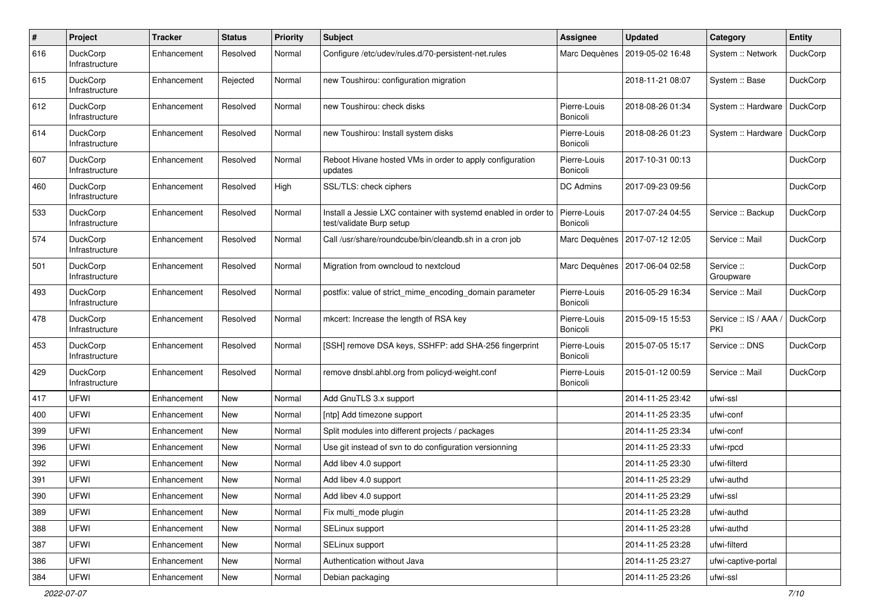| $\#$ | Project                           | <b>Tracker</b> | <b>Status</b> | <b>Priority</b> | <b>Subject</b>                                                                              | <b>Assignee</b>          | <b>Updated</b>   | Category                    | <b>Entity</b> |
|------|-----------------------------------|----------------|---------------|-----------------|---------------------------------------------------------------------------------------------|--------------------------|------------------|-----------------------------|---------------|
| 616  | DuckCorp<br>Infrastructure        | Enhancement    | Resolved      | Normal          | Configure /etc/udev/rules.d/70-persistent-net.rules                                         | Marc Dequènes            | 2019-05-02 16:48 | System :: Network           | DuckCorp      |
| 615  | DuckCorp<br>Infrastructure        | Enhancement    | Rejected      | Normal          | new Toushirou: configuration migration                                                      |                          | 2018-11-21 08:07 | System :: Base              | DuckCorp      |
| 612  | DuckCorp<br>Infrastructure        | Enhancement    | Resolved      | Normal          | new Toushirou: check disks                                                                  | Pierre-Louis<br>Bonicoli | 2018-08-26 01:34 | System :: Hardware          | DuckCorp      |
| 614  | DuckCorp<br>Infrastructure        | Enhancement    | Resolved      | Normal          | new Toushirou: Install system disks                                                         | Pierre-Louis<br>Bonicoli | 2018-08-26 01:23 | System :: Hardware          | DuckCorp      |
| 607  | DuckCorp<br>Infrastructure        | Enhancement    | Resolved      | Normal          | Reboot Hivane hosted VMs in order to apply configuration<br>updates                         | Pierre-Louis<br>Bonicoli | 2017-10-31 00:13 |                             | DuckCorp      |
| 460  | DuckCorp<br>Infrastructure        | Enhancement    | Resolved      | High            | SSL/TLS: check ciphers                                                                      | DC Admins                | 2017-09-23 09:56 |                             | DuckCorp      |
| 533  | DuckCorp<br>Infrastructure        | Enhancement    | Resolved      | Normal          | Install a Jessie LXC container with systemd enabled in order to<br>test/validate Burp setup | Pierre-Louis<br>Bonicoli | 2017-07-24 04:55 | Service :: Backup           | DuckCorp      |
| 574  | DuckCorp<br>Infrastructure        | Enhancement    | Resolved      | Normal          | Call /usr/share/roundcube/bin/cleandb.sh in a cron job                                      | Marc Dequènes            | 2017-07-12 12:05 | Service :: Mail             | DuckCorp      |
| 501  | DuckCorp<br>Infrastructure        | Enhancement    | Resolved      | Normal          | Migration from owncloud to nextcloud                                                        | Marc Dequènes            | 2017-06-04 02:58 | Service ::<br>Groupware     | DuckCorp      |
| 493  | DuckCorp<br>Infrastructure        | Enhancement    | Resolved      | Normal          | postfix: value of strict mime encoding domain parameter                                     | Pierre-Louis<br>Bonicoli | 2016-05-29 16:34 | Service :: Mail             | DuckCorp      |
| 478  | DuckCorp<br>Infrastructure        | Enhancement    | Resolved      | Normal          | mkcert: Increase the length of RSA key                                                      | Pierre-Louis<br>Bonicoli | 2015-09-15 15:53 | Service :: IS / AAA,<br>PKI | DuckCorp      |
| 453  | DuckCorp<br>Infrastructure        | Enhancement    | Resolved      | Normal          | [SSH] remove DSA keys, SSHFP: add SHA-256 fingerprint                                       | Pierre-Louis<br>Bonicoli | 2015-07-05 15:17 | Service: DNS                | DuckCorp      |
| 429  | <b>DuckCorp</b><br>Infrastructure | Enhancement    | Resolved      | Normal          | remove dnsbl.ahbl.org from policyd-weight.conf                                              | Pierre-Louis<br>Bonicoli | 2015-01-12 00:59 | Service :: Mail             | DuckCorp      |
| 417  | <b>UFWI</b>                       | Enhancement    | New           | Normal          | Add GnuTLS 3.x support                                                                      |                          | 2014-11-25 23:42 | ufwi-ssl                    |               |
| 400  | <b>UFWI</b>                       | Enhancement    | New           | Normal          | [ntp] Add timezone support                                                                  |                          | 2014-11-25 23:35 | ufwi-conf                   |               |
| 399  | <b>UFWI</b>                       | Enhancement    | New           | Normal          | Split modules into different projects / packages                                            |                          | 2014-11-25 23:34 | ufwi-conf                   |               |
| 396  | <b>UFWI</b>                       | Enhancement    | New           | Normal          | Use git instead of svn to do configuration versionning                                      |                          | 2014-11-25 23:33 | ufwi-rpcd                   |               |
| 392  | UFWI                              | Enhancement    | New           | Normal          | Add libev 4.0 support                                                                       |                          | 2014-11-25 23:30 | ufwi-filterd                |               |
| 391  | UFWI                              | Enhancement    | New           | Normal          | Add libev 4.0 support                                                                       |                          | 2014-11-25 23:29 | ufwi-authd                  |               |
| 390  | UFWI                              | Enhancement    | New           | Normal          | Add libey 4.0 support                                                                       |                          | 2014-11-25 23:29 | ufwi-ssl                    |               |
| 389  | <b>UFWI</b>                       | Enhancement    | New           | Normal          | Fix multi_mode plugin                                                                       |                          | 2014-11-25 23:28 | ufwi-authd                  |               |
| 388  | <b>UFWI</b>                       | Enhancement    | New           | Normal          | SELinux support                                                                             |                          | 2014-11-25 23:28 | ufwi-authd                  |               |
| 387  | UFWI                              | Enhancement    | New           | Normal          | SELinux support                                                                             |                          | 2014-11-25 23:28 | ufwi-filterd                |               |
| 386  | UFWI                              | Enhancement    | New           | Normal          | Authentication without Java                                                                 |                          | 2014-11-25 23:27 | ufwi-captive-portal         |               |
| 384  | UFWI                              | Enhancement    | New           | Normal          | Debian packaging                                                                            |                          | 2014-11-25 23:26 | ufwi-ssl                    |               |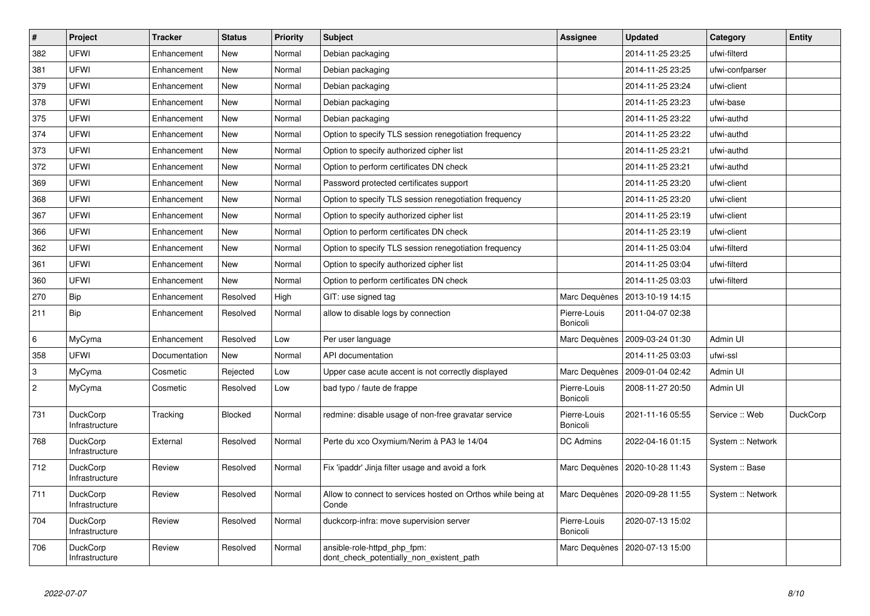| $\#$                      | <b>Project</b>                    | <b>Tracker</b> | <b>Status</b> | <b>Priority</b> | <b>Subject</b>                                                          | <b>Assignee</b>          | <b>Updated</b>                   | Category          | Entity   |
|---------------------------|-----------------------------------|----------------|---------------|-----------------|-------------------------------------------------------------------------|--------------------------|----------------------------------|-------------------|----------|
| 382                       | <b>UFWI</b>                       | Enhancement    | <b>New</b>    | Normal          | Debian packaging                                                        |                          | 2014-11-25 23:25                 | ufwi-filterd      |          |
| 381                       | UFWI                              | Enhancement    | New           | Normal          | Debian packaging                                                        |                          | 2014-11-25 23:25                 | ufwi-confparser   |          |
| 379                       | UFWI                              | Enhancement    | <b>New</b>    | Normal          | Debian packaging                                                        |                          | 2014-11-25 23:24                 | ufwi-client       |          |
| 378                       | UFWI                              | Enhancement    | New           | Normal          | Debian packaging                                                        |                          | 2014-11-25 23:23                 | ufwi-base         |          |
| 375                       | UFWI                              | Enhancement    | New           | Normal          | Debian packaging                                                        |                          | 2014-11-25 23:22                 | ufwi-authd        |          |
| 374                       | UFWI                              | Enhancement    | <b>New</b>    | Normal          | Option to specify TLS session renegotiation frequency                   |                          | 2014-11-25 23:22                 | ufwi-authd        |          |
| 373                       | UFWI                              | Enhancement    | New           | Normal          | Option to specify authorized cipher list                                |                          | 2014-11-25 23:21                 | ufwi-authd        |          |
| 372                       | UFWI                              | Enhancement    | New           | Normal          | Option to perform certificates DN check                                 |                          | 2014-11-25 23:21                 | ufwi-authd        |          |
| 369                       | UFWI                              | Enhancement    | <b>New</b>    | Normal          | Password protected certificates support                                 |                          | 2014-11-25 23:20                 | ufwi-client       |          |
| 368                       | UFWI                              | Enhancement    | <b>New</b>    | Normal          | Option to specify TLS session renegotiation frequency                   |                          | 2014-11-25 23:20                 | ufwi-client       |          |
| 367                       | UFWI                              | Enhancement    | New           | Normal          | Option to specify authorized cipher list                                |                          | 2014-11-25 23:19                 | ufwi-client       |          |
| 366                       | UFWI                              | Enhancement    | New           | Normal          | Option to perform certificates DN check                                 |                          | 2014-11-25 23:19                 | ufwi-client       |          |
| 362                       | UFWI                              | Enhancement    | <b>New</b>    | Normal          | Option to specify TLS session renegotiation frequency                   |                          | 2014-11-25 03:04                 | ufwi-filterd      |          |
| 361                       | UFWI                              | Enhancement    | New           | Normal          | Option to specify authorized cipher list                                |                          | 2014-11-25 03:04                 | ufwi-filterd      |          |
| 360                       | UFWI                              | Enhancement    | New           | Normal          | Option to perform certificates DN check                                 |                          | 2014-11-25 03:03                 | ufwi-filterd      |          |
| 270                       | Bip                               | Enhancement    | Resolved      | High            | GIT: use signed tag                                                     | Marc Dequènes            | 2013-10-19 14:15                 |                   |          |
| 211                       | <b>Bip</b>                        | Enhancement    | Resolved      | Normal          | allow to disable logs by connection                                     | Pierre-Louis<br>Bonicoli | 2011-04-07 02:38                 |                   |          |
| $\,6\,$                   | MyCyma                            | Enhancement    | Resolved      | Low             | Per user language                                                       | Marc Dequènes            | 2009-03-24 01:30                 | Admin UI          |          |
| 358                       | UFWI                              | Documentation  | <b>New</b>    | Normal          | API documentation                                                       |                          | 2014-11-25 03:03                 | ufwi-ssl          |          |
| $\ensuremath{\mathsf{3}}$ | MyCyma                            | Cosmetic       | Rejected      | Low             | Upper case acute accent is not correctly displayed                      | Marc Dequènes            | 2009-01-04 02:42                 | Admin UI          |          |
| $\sqrt{2}$                | MyCyma                            | Cosmetic       | Resolved      | Low             | bad typo / faute de frappe                                              | Pierre-Louis<br>Bonicoli | 2008-11-27 20:50                 | Admin UI          |          |
| 731                       | DuckCorp<br>Infrastructure        | Tracking       | Blocked       | Normal          | redmine: disable usage of non-free gravatar service                     | Pierre-Louis<br>Bonicoli | 2021-11-16 05:55                 | Service: Web      | DuckCorp |
| 768                       | <b>DuckCorp</b><br>Infrastructure | External       | Resolved      | Normal          | Perte du xco Oxymium/Nerim à PA3 le 14/04                               | DC Admins                | 2022-04-16 01:15                 | System :: Network |          |
| 712                       | <b>DuckCorp</b><br>Infrastructure | Review         | Resolved      | Normal          | Fix 'ipaddr' Jinja filter usage and avoid a fork                        | Marc Dequènes            | 2020-10-28 11:43                 | System :: Base    |          |
| 711                       | DuckCorp<br>Infrastructure        | Review         | Resolved      | Normal          | Allow to connect to services hosted on Orthos while being at<br>Conde   |                          | Marc Dequènes   2020-09-28 11:55 | System :: Network |          |
| 704                       | DuckCorp<br>Infrastructure        | Review         | Resolved      | Normal          | duckcorp-infra: move supervision server                                 | Pierre-Louis<br>Bonicoli | 2020-07-13 15:02                 |                   |          |
| 706                       | <b>DuckCorp</b><br>Infrastructure | Review         | Resolved      | Normal          | ansible-role-httpd php fpm:<br>dont check potentially non existent path | Marc Dequènes            | 2020-07-13 15:00                 |                   |          |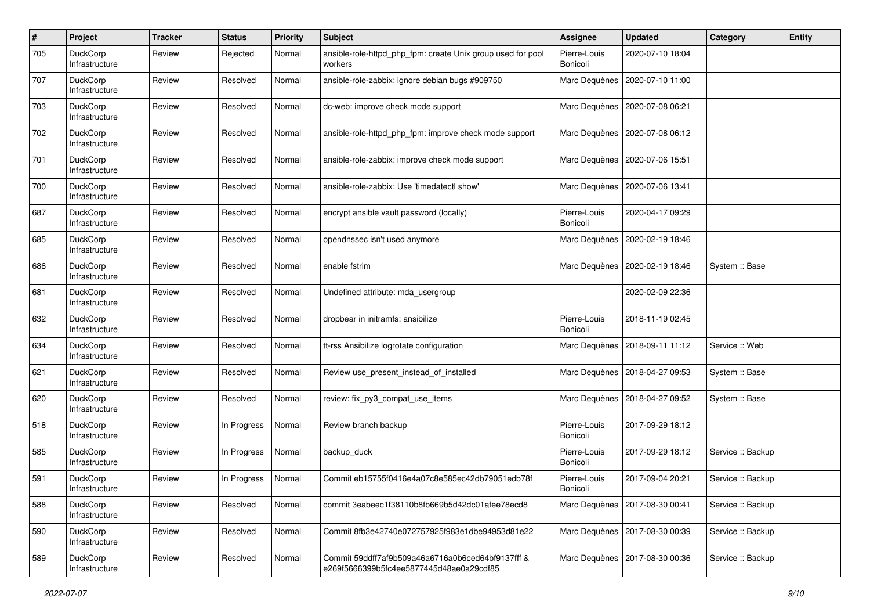| $\pmb{\#}$ | Project                           | <b>Tracker</b> | <b>Status</b> | <b>Priority</b> | <b>Subject</b>                                                                                | <b>Assignee</b>          | <b>Updated</b>                   | Category          | <b>Entity</b> |
|------------|-----------------------------------|----------------|---------------|-----------------|-----------------------------------------------------------------------------------------------|--------------------------|----------------------------------|-------------------|---------------|
| 705        | DuckCorp<br>Infrastructure        | Review         | Rejected      | Normal          | ansible-role-httpd_php_fpm: create Unix group used for pool<br>workers                        | Pierre-Louis<br>Bonicoli | 2020-07-10 18:04                 |                   |               |
| 707        | <b>DuckCorp</b><br>Infrastructure | Review         | Resolved      | Normal          | ansible-role-zabbix: ignore debian bugs #909750                                               | Marc Dequènes            | 2020-07-10 11:00                 |                   |               |
| 703        | <b>DuckCorp</b><br>Infrastructure | Review         | Resolved      | Normal          | dc-web: improve check mode support                                                            | Marc Dequènes            | 2020-07-08 06:21                 |                   |               |
| 702        | <b>DuckCorp</b><br>Infrastructure | Review         | Resolved      | Normal          | ansible-role-httpd php fpm: improve check mode support                                        | Marc Dequènes            | 2020-07-08 06:12                 |                   |               |
| 701        | <b>DuckCorp</b><br>Infrastructure | Review         | Resolved      | Normal          | ansible-role-zabbix: improve check mode support                                               |                          | Marc Dequènes   2020-07-06 15:51 |                   |               |
| 700        | <b>DuckCorp</b><br>Infrastructure | Review         | Resolved      | Normal          | ansible-role-zabbix: Use 'timedatectl show'                                                   |                          | Marc Dequènes   2020-07-06 13:41 |                   |               |
| 687        | <b>DuckCorp</b><br>Infrastructure | Review         | Resolved      | Normal          | encrypt ansible vault password (locally)                                                      | Pierre-Louis<br>Bonicoli | 2020-04-17 09:29                 |                   |               |
| 685        | <b>DuckCorp</b><br>Infrastructure | Review         | Resolved      | Normal          | opendnssec isn't used anymore                                                                 |                          | Marc Dequènes   2020-02-19 18:46 |                   |               |
| 686        | <b>DuckCorp</b><br>Infrastructure | Review         | Resolved      | Normal          | enable fstrim                                                                                 | Marc Dequènes            | 2020-02-19 18:46                 | System :: Base    |               |
| 681        | <b>DuckCorp</b><br>Infrastructure | Review         | Resolved      | Normal          | Undefined attribute: mda_usergroup                                                            |                          | 2020-02-09 22:36                 |                   |               |
| 632        | <b>DuckCorp</b><br>Infrastructure | Review         | Resolved      | Normal          | dropbear in initramfs: ansibilize                                                             | Pierre-Louis<br>Bonicoli | 2018-11-19 02:45                 |                   |               |
| 634        | <b>DuckCorp</b><br>Infrastructure | Review         | Resolved      | Normal          | tt-rss Ansibilize logrotate configuration                                                     |                          | Marc Dequènes   2018-09-11 11:12 | Service: Web      |               |
| 621        | <b>DuckCorp</b><br>Infrastructure | Review         | Resolved      | Normal          | Review use present instead of installed                                                       |                          | Marc Dequènes   2018-04-27 09:53 | System :: Base    |               |
| 620        | DuckCorp<br>Infrastructure        | Review         | Resolved      | Normal          | review: fix_py3_compat_use_items                                                              |                          | Marc Dequènes   2018-04-27 09:52 | System :: Base    |               |
| 518        | <b>DuckCorp</b><br>Infrastructure | Review         | In Progress   | Normal          | Review branch backup                                                                          | Pierre-Louis<br>Bonicoli | 2017-09-29 18:12                 |                   |               |
| 585        | DuckCorp<br>Infrastructure        | Review         | In Progress   | Normal          | backup_duck                                                                                   | Pierre-Louis<br>Bonicoli | 2017-09-29 18:12                 | Service :: Backup |               |
| 591        | <b>DuckCorp</b><br>Infrastructure | Review         | In Progress   | Normal          | Commit eb15755f0416e4a07c8e585ec42db79051edb78f                                               | Pierre-Louis<br>Bonicoli | 2017-09-04 20:21                 | Service :: Backup |               |
| 588        | DuckCorp<br>Infrastructure        | Review         | Resolved      | Normal          | commit 3eabeec1f38110b8fb669b5d42dc01afee78ecd8                                               |                          | Marc Dequènes   2017-08-30 00:41 | Service :: Backup |               |
| 590        | DuckCorp<br>Infrastructure        | Review         | Resolved      | Normal          | Commit 8fb3e42740e072757925f983e1dbe94953d81e22                                               |                          | Marc Dequènes   2017-08-30 00:39 | Service :: Backup |               |
| 589        | DuckCorp<br>Infrastructure        | Review         | Resolved      | Normal          | Commit 59ddff7af9b509a46a6716a0b6ced64bf9137fff &<br>e269f5666399b5fc4ee5877445d48ae0a29cdf85 | Marc Dequènes            | 2017-08-30 00:36                 | Service :: Backup |               |